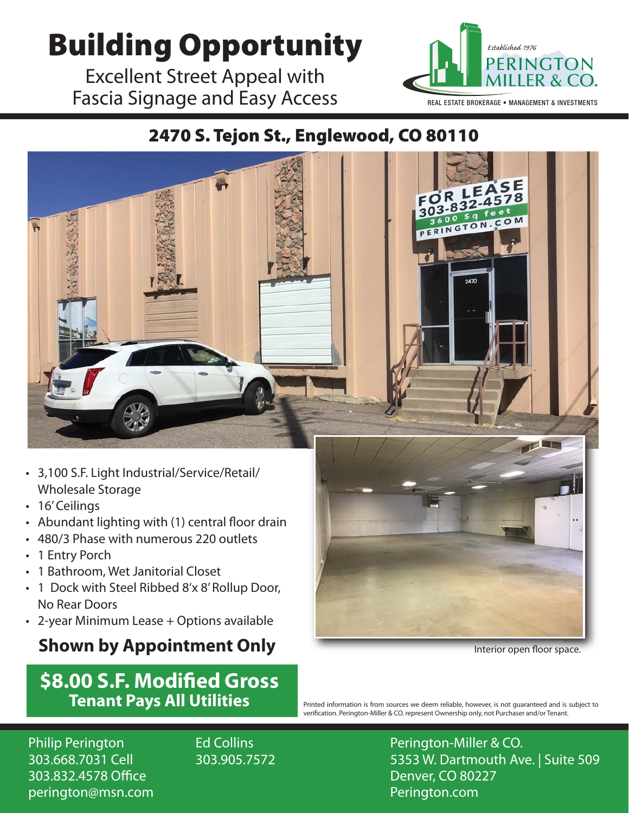## **Building Opportunity All Established 1976**

Excellent Street Appeal with Fascia Signage and Easy Access



REAL ESTATE BROKERAGE • MANAGEMENT & INVESTMENTS

## 2470 S. Tejon St., Englewood, CO 80110



- 3,100 S.F. Light Industrial/Service/Retail/ Wholesale Storage
- 16' Ceilings
- Abundant lighting with (1) central floor drain
- 480/3 Phase with numerous 220 outlets
- 1 Entry Porch
- 1 Bathroom, Wet Janitorial Closet
- 1 Dock with Steel Ribbed 8'x 8' Rollup Door, No Rear Doors
- 2-year Minimum Lease + Options available

## **Shown by Appointment Only**

## **\$8.00 S.F. Modifed Gross Tenant Pays All Utilities**



Interior open floor space.

Printed information is from sources we deem reliable, however, is not guaranteed and is subject to verifcation. Perington-Miller & CO. represent Ownership only, not Purchaser and/or Tenant.

Philip Perington 303.668.7031 Cell 303.832.4578 Office perington@msn.com Ed Collins 303.905.7572 Perington-Miller & CO. 5353 W. Dartmouth Ave. | Suite 509 Denver, CO 80227 Perington.com